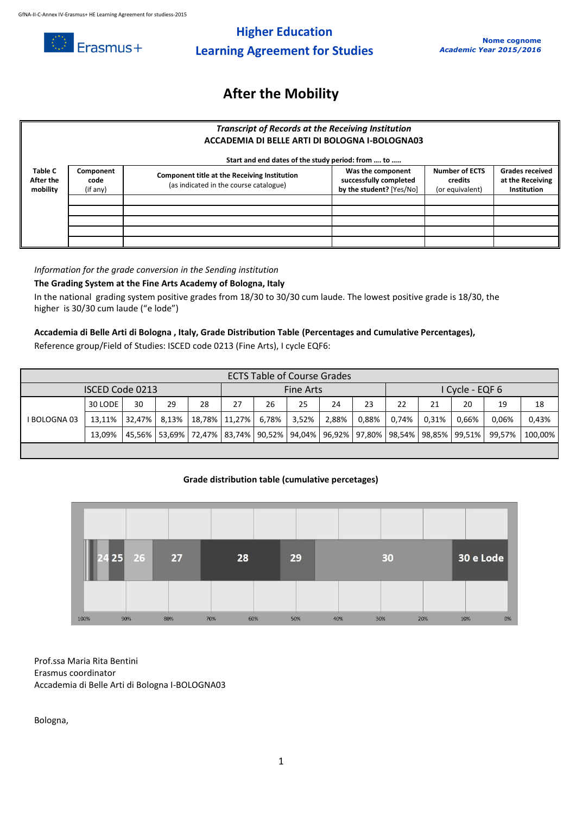

# **Higher Education Learning Agreement for Studies**

# **After the Mobility**

### *Transcript of Records at the Receiving Institution* **ACCADEMIA DI BELLE ARTI DI BOLOGNA I-BOLOGNA03**

|                                         | Start and end dates of the study period: from  to |                                                                                               |                                                                         |                                                     |                                                                  |  |  |  |  |  |  |  |
|-----------------------------------------|---------------------------------------------------|-----------------------------------------------------------------------------------------------|-------------------------------------------------------------------------|-----------------------------------------------------|------------------------------------------------------------------|--|--|--|--|--|--|--|
| <b>Table C</b><br>After the<br>mobility | Component<br>code<br>(if any)                     | <b>Component title at the Receiving Institution</b><br>(as indicated in the course catalogue) | Was the component<br>successfully completed<br>by the student? [Yes/No] | <b>Number of ECTS</b><br>credits<br>(or equivalent) | <b>Grades received</b><br>at the Receiving<br><b>Institution</b> |  |  |  |  |  |  |  |
|                                         |                                                   |                                                                                               |                                                                         |                                                     |                                                                  |  |  |  |  |  |  |  |
|                                         |                                                   |                                                                                               |                                                                         |                                                     |                                                                  |  |  |  |  |  |  |  |
|                                         |                                                   |                                                                                               |                                                                         |                                                     |                                                                  |  |  |  |  |  |  |  |
|                                         |                                                   |                                                                                               |                                                                         |                                                     |                                                                  |  |  |  |  |  |  |  |
|                                         |                                                   |                                                                                               |                                                                         |                                                     |                                                                  |  |  |  |  |  |  |  |

*Information for the grade conversion in the Sending institution*

### **The Grading System at the Fine Arts Academy of Bologna, Italy**

In the national grading system positive grades from 18/30 to 30/30 cum laude. The lowest positive grade is 18/30, the higher is 30/30 cum laude ("e lode")

#### **Accademia di Belle Arti di Bologna , Italy, Grade Distribution Table (Percentages and Cumulative Percentages),**

Reference group/Field of Studies: ISCED code 0213 (Fine Arts), I cycle EQF6:

| <b>ECTS Table of Course Grades</b> |         |    |              |        |                                                                                                  |       |       |       |               |       |       |       |        |         |
|------------------------------------|---------|----|--------------|--------|--------------------------------------------------------------------------------------------------|-------|-------|-------|---------------|-------|-------|-------|--------|---------|
| ISCED Code 0213                    |         |    |              |        | Fine Arts                                                                                        |       |       |       | Cycle - EQF 6 |       |       |       |        |         |
| <b>BOLOGNA03</b>                   | 30 LODE | 30 | 29           | 28     | 27                                                                                               | 26    | 25    | 24    | 23            | 22    | 21    | 20    | 19     | 18      |
|                                    | 13,11%  |    | 32,47% 8,13% | 18,78% | 11,27%                                                                                           | 6,78% | 3,52% | 2,88% | 0,88%         | 0.74% | 0.31% | 0,66% | 0,06%  | 0,43%   |
|                                    | 13.09%  |    |              |        | 45,56%   53,69%   72,47%   83,74%   90,52%   94,04%   96,92%   97,80%   98,54%   98,85%   99,51% |       |       |       |               |       |       |       | 99.57% | 100.00% |
|                                    |         |    |              |        |                                                                                                  |       |       |       |               |       |       |       |        |         |

### **Grade distribution table (cumulative percetages)**



Prof.ssa Maria Rita Bentini Erasmus coordinator Accademia di Belle Arti di Bologna I-BOLOGNA03

Bologna,